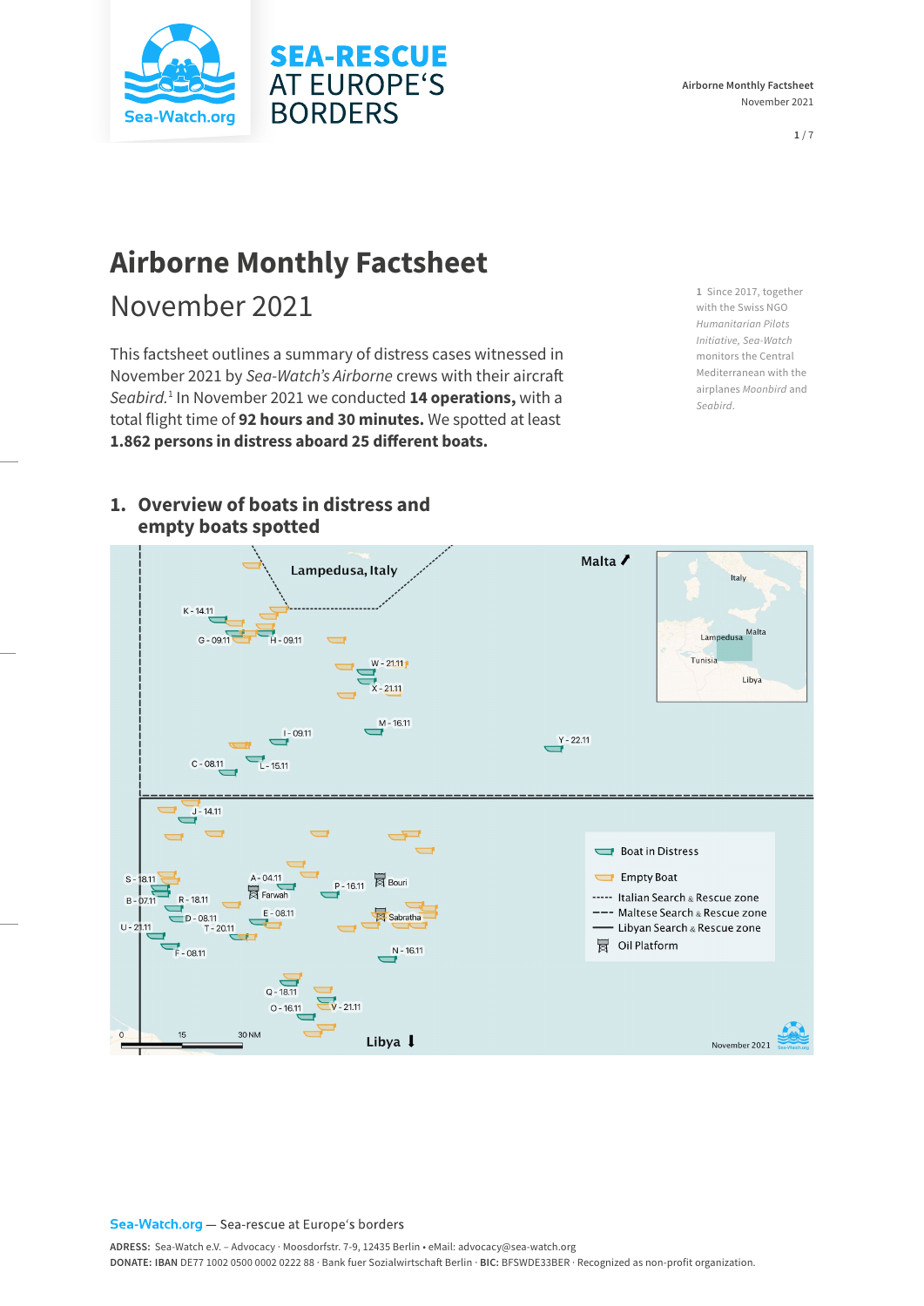

# **Airborne Monthly Factsheet**

# November 2021

This factsheet outlines a summary of distress cases witnessed in November 2021 by *Sea-Watch's Airborne* crews with their aircraft *Seabird.*<sup>1</sup> In November 2021 we conducted **14 operations,** with a total flight time of **92 hours and 30 minutes.** We spotted at least **1.862 persons in distress aboard 25 different boats.** 

**1** Since 2017, together with the Swiss NGO *Humanitarian Pilots Initiative, Sea-Watch* monitors the Central Mediterranean with the airplanes *Moonbird* and *Seabird*.



## **1. Overview of boats in distress and empty boats spotted**

#### Sea-Watch.org - Sea-rescue at Europe's borders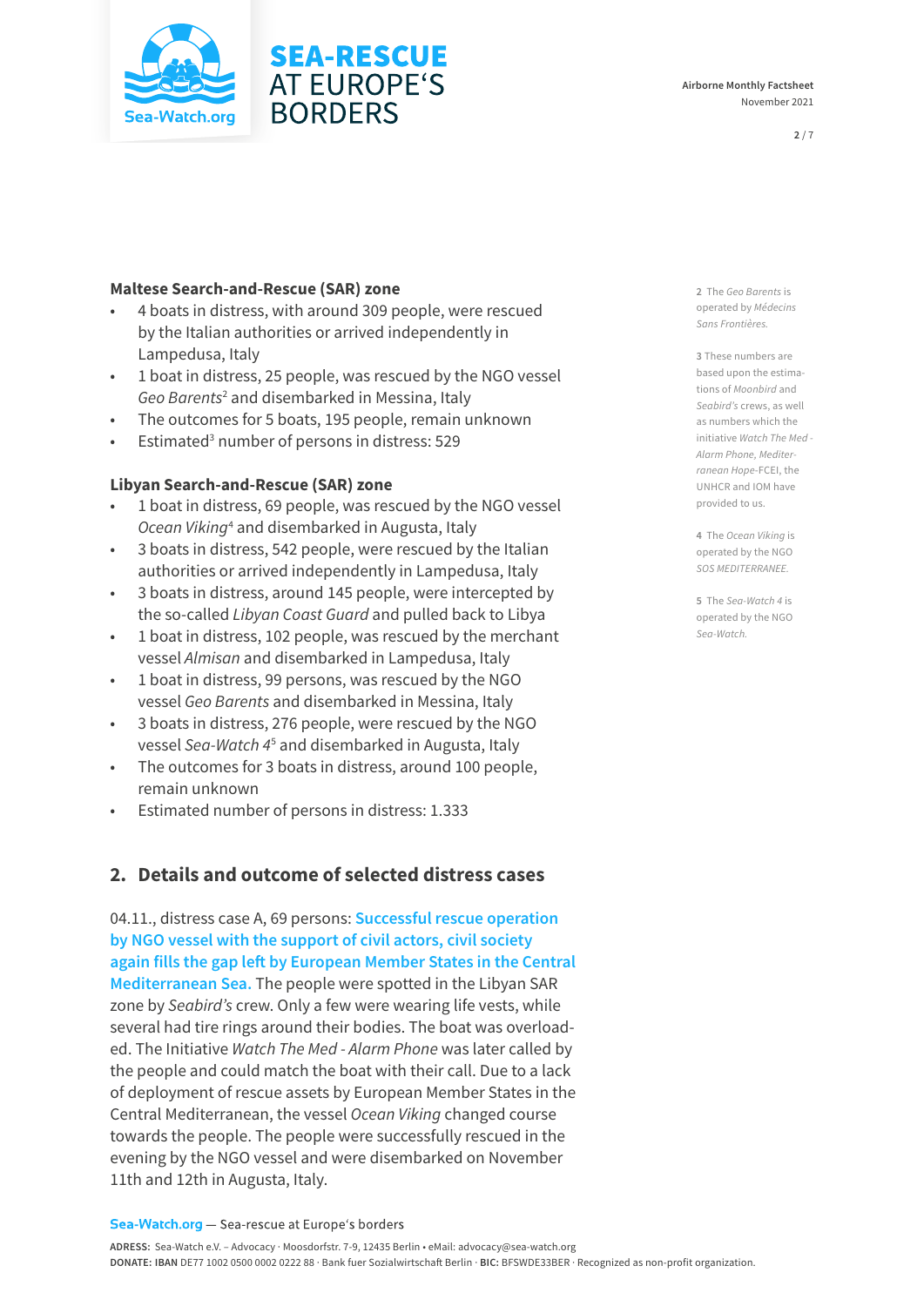## **Maltese Search-and-Rescue (SAR) zone**

• 4 boats in distress, with around 309 people, were rescued by the Italian authorities or arrived independently in Lampedusa, Italy

**SEA-RESCUE AT EUROPE'S** 

**BORDERS** 

- 1 boat in distress, 25 people, was rescued by the NGO vessel Geo Barents<sup>2</sup> and disembarked in Messina, Italy
- The outcomes for 5 boats, 195 people, remain unknown
- Estimated<sup>3</sup> number of persons in distress: 529

### **Libyan Search-and-Rescue (SAR) zone**

- 1 boat in distress, 69 people, was rescued by the NGO vessel *Ocean Viking*<sup>4</sup> and disembarked in Augusta, Italy
- 3 boats in distress, 542 people, were rescued by the Italian authorities or arrived independently in Lampedusa, Italy
- 3 boats in distress, around 145 people, were intercepted by the so-called *Libyan Coast Guard* and pulled back to Libya
- 1 boat in distress, 102 people, was rescued by the merchant vessel *Almisan* and disembarked in Lampedusa, Italy
- 1 boat in distress, 99 persons, was rescued by the NGO vessel *Geo Barents* and disembarked in Messina, Italy
- 3 boats in distress, 276 people, were rescued by the NGO vessel *Sea-Watch 4*<sup>5</sup> and disembarked in Augusta, Italy
- The outcomes for 3 boats in distress, around 100 people, remain unknown
- Estimated number of persons in distress: 1.333

# **2. Details and outcome of selected distress cases**

04.11., distress case A, 69 persons: **Successful rescue operation by NGO vessel with the support of civil actors, civil society again fills the gap left by European Member States in the Central Mediterranean Sea.** The people were spotted in the Libyan SAR zone by *Seabird's* crew. Only a few were wearing life vests, while several had tire rings around their bodies. The boat was overloaded. The Initiative *Watch The Med - Alarm Phone* was later called by the people and could match the boat with their call. Due to a lack of deployment of rescue assets by European Member States in the Central Mediterranean, the vessel *Ocean Viking* changed course towards the people. The people were successfully rescued in the evening by the NGO vessel and were disembarked on November 11th and 12th in Augusta, Italy.

**2** The *Geo Barents* is operated by *Médecins Sans Frontières.*

**3** These numbers are based upon the estimations of *Moonbird* and *Seabird's* crews, as well as numbers which the initiative *Watch The Med - Alarm Phone, Mediterranean Hope*-FCEI, the UNHCR and IOM have provided to us.

**4** The *Ocean Viking* is operated by the NGO *SOS MEDITERRANEE.*

**5** The *Sea-Watch 4* is operated by the NGO *Sea-Watch.*



**Airborne Monthly Factsheet**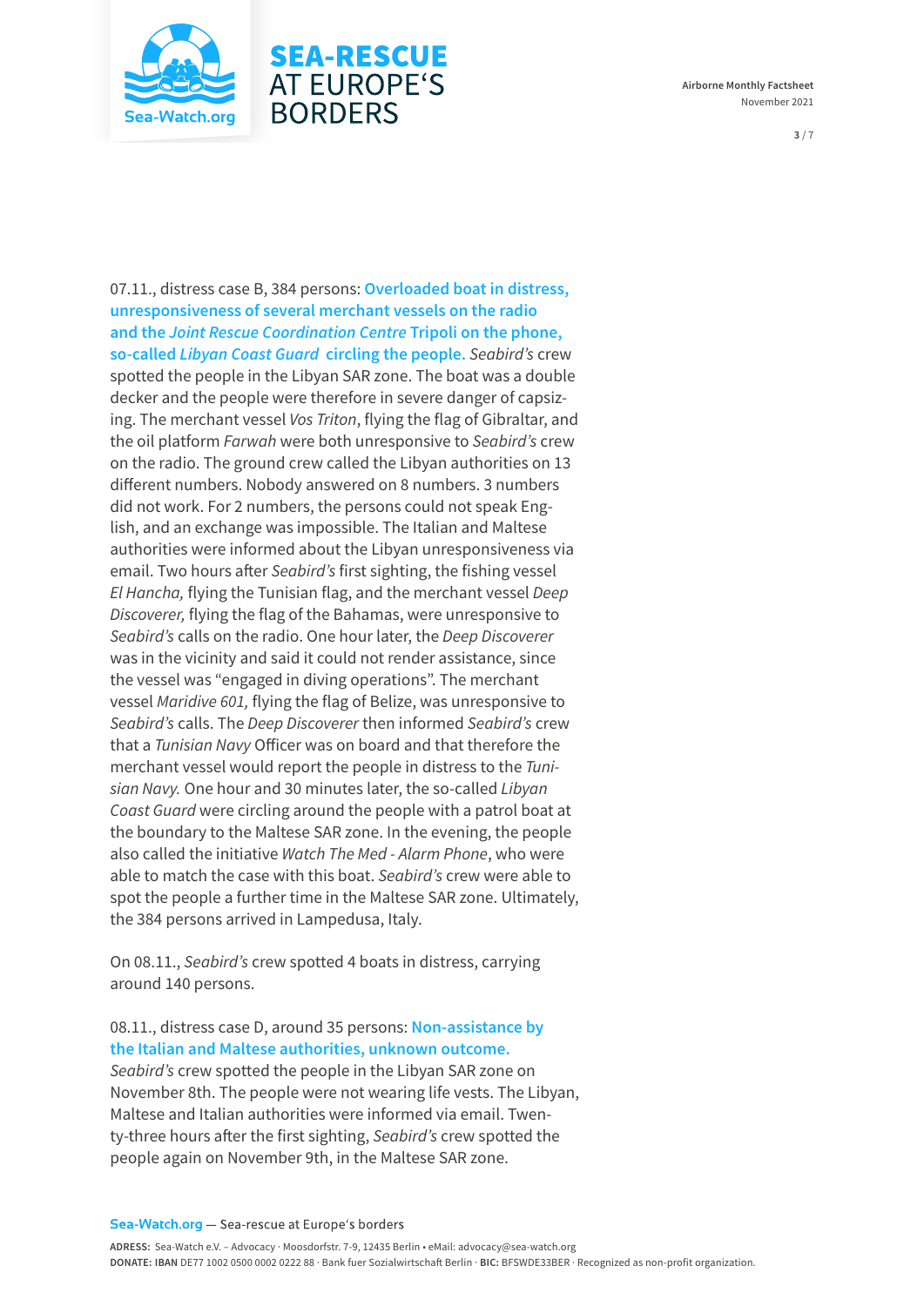

#### **Airborne Monthly Factsheet**  November 2021

**3** / 7

07.11., distress case B, 384 persons: **Overloaded boat in distress, unresponsiveness of several merchant vessels on the radio and the** *Joint Rescue Coordination Centre* **Tripoli on the phone, so-called** *Libyan Coast Guard* **circling the people.** *Seabird's* crew spotted the people in the Libyan SAR zone. The boat was a double decker and the people were therefore in severe danger of capsizing. The merchant vessel *Vos Triton*, flying the flag of Gibraltar, and the oil platform *Farwah* were both unresponsive to *Seabird's* crew on the radio. The ground crew called the Libyan authorities on 13 different numbers. Nobody answered on 8 numbers. 3 numbers did not work. For 2 numbers, the persons could not speak English, and an exchange was impossible. The Italian and Maltese authorities were informed about the Libyan unresponsiveness via email. Two hours after *Seabird's* first sighting, the fishing vessel *El Hancha,* flying the Tunisian flag, and the merchant vessel *Deep Discoverer,* flying the flag of the Bahamas, were unresponsive to *Seabird's* calls on the radio. One hour later, the *Deep Discoverer* was in the vicinity and said it could not render assistance, since the vessel was "engaged in diving operations". The merchant vessel *Maridive 601,* flying the flag of Belize, was unresponsive to *Seabird's* calls. The *Deep Discoverer* then informed *Seabird's* crew that a *Tunisian Navy* Officer was on board and that therefore the merchant vessel would report the people in distress to the *Tunisian Navy.* One hour and 30 minutes later, the so-called *Libyan Coast Guard* were circling around the people with a patrol boat at the boundary to the Maltese SAR zone. In the evening, the people also called the initiative *Watch The Med - Alarm Phone*, who were able to match the case with this boat. *Seabird's* crew were able to spot the people a further time in the Maltese SAR zone. Ultimately, the 384 persons arrived in Lampedusa, Italy.

**SEA-RESCUE AT EUROPE'S** 

**BORDERS** 

On 08.11., *Seabird's* crew spotted 4 boats in distress, carrying around 140 persons.

#### 08.11., distress case D, around 35 persons: **Non-assistance by the Italian and Maltese authorities, unknown outcome.**

*Seabird's* crew spotted the people in the Libyan SAR zone on November 8th. The people were not wearing life vests. The Libyan, Maltese and Italian authorities were informed via email. Twenty-three hours after the first sighting, *Seabird's* crew spotted the people again on November 9th, in the Maltese SAR zone.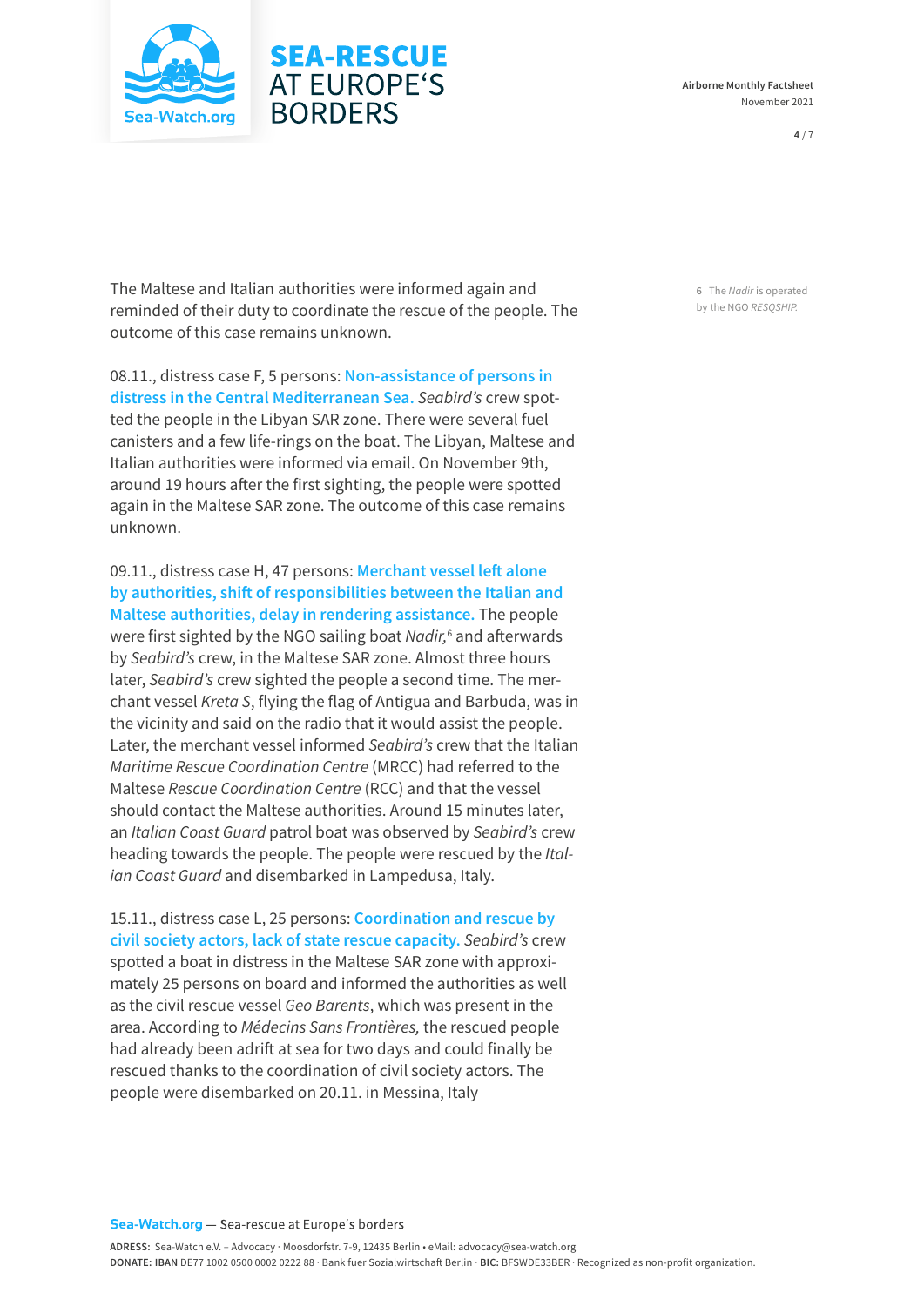



**4** / 7

The Maltese and Italian authorities were informed again and reminded of their duty to coordinate the rescue of the people. The outcome of this case remains unknown.

**SEA-RESCUE AT EUROPE'S** 

**BORDERS** 

08.11., distress case F, 5 persons: **Non-assistance of persons in distress in the Central Mediterranean Sea.** *Seabird's* crew spotted the people in the Libyan SAR zone. There were several fuel canisters and a few life-rings on the boat. The Libyan, Maltese and Italian authorities were informed via email. On November 9th, around 19 hours after the first sighting, the people were spotted again in the Maltese SAR zone. The outcome of this case remains unknown.

09.11., distress case H, 47 persons: **Merchant vessel left alone by authorities, shift of responsibilities between the Italian and Maltese authorities, delay in rendering assistance.** The people were first sighted by the NGO sailing boat *Nadir*,<sup>6</sup> and afterwards by *Seabird's* crew, in the Maltese SAR zone. Almost three hours later, *Seabird's* crew sighted the people a second time. The merchant vessel *Kreta S*, flying the flag of Antigua and Barbuda, was in the vicinity and said on the radio that it would assist the people. Later, the merchant vessel informed *Seabird's* crew that the Italian *Maritime Rescue Coordination Centre* (MRCC) had referred to the Maltese *Rescue Coordination Centre* (RCC) and that the vessel should contact the Maltese authorities. Around 15 minutes later, an *Italian Coast Guard* patrol boat was observed by *Seabird's* crew heading towards the people. The people were rescued by the *Italian Coast Guard* and disembarked in Lampedusa, Italy.

15.11., distress case L, 25 persons: **Coordination and rescue by civil society actors, lack of state rescue capacity.** *Seabird's* crew spotted a boat in distress in the Maltese SAR zone with approximately 25 persons on board and informed the authorities as well as the civil rescue vessel *Geo Barents*, which was present in the area. According to *Médecins Sans Frontières,* the rescued people had already been adrift at sea for two days and could finally be rescued thanks to the coordination of civil society actors. The people were disembarked on 20.11. in Messina, Italy

**6** The *Nadir* is operated by the NGO *RESQSHIP.*

Sea-Watch.org - Sea-rescue at Europe's borders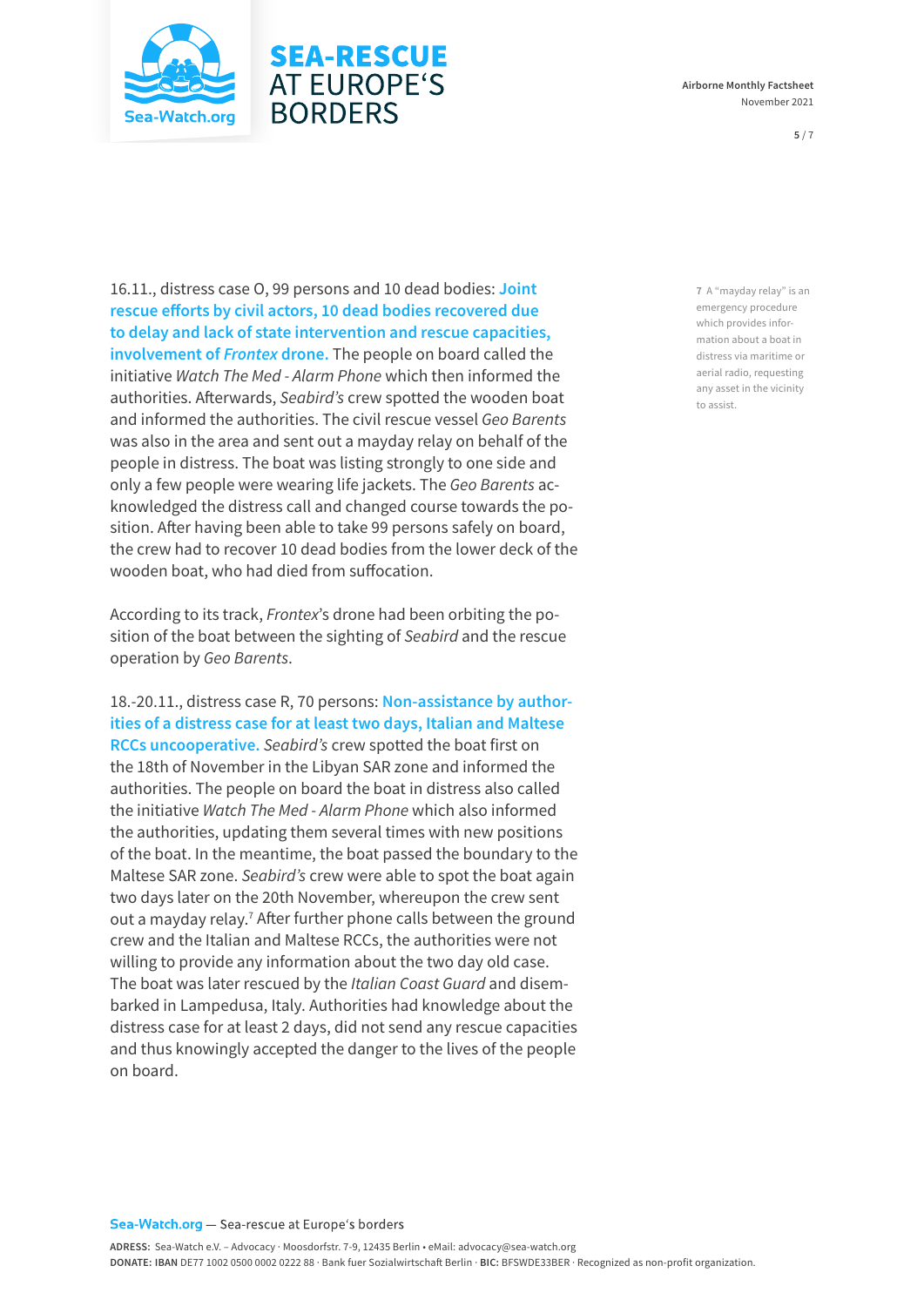

# **SEA-RESCUE AT EUROPE'S BORDERS**

16.11., distress case O, 99 persons and 10 dead bodies: **Joint rescue efforts by civil actors, 10 dead bodies recovered due to delay and lack of state intervention and rescue capacities, involvement of** *Frontex* **drone.** The people on board called the initiative *Watch The Med - Alarm Phone* which then informed the authorities. Afterwards, *Seabird's* crew spotted the wooden boat and informed the authorities. The civil rescue vessel *Geo Barents* was also in the area and sent out a mayday relay on behalf of the people in distress. The boat was listing strongly to one side and only a few people were wearing life jackets. The *Geo Barents* acknowledged the distress call and changed course towards the position. After having been able to take 99 persons safely on board, the crew had to recover 10 dead bodies from the lower deck of the wooden boat, who had died from suffocation.

According to its track, *Frontex*'s drone had been orbiting the position of the boat between the sighting of *Seabird* and the rescue operation by *Geo Barents*.

18.-20.11., distress case R, 70 persons: **Non-assistance by authorities of a distress case for at least two days, Italian and Maltese RCCs uncooperative.** *Seabird's* crew spotted the boat first on the 18th of November in the Libyan SAR zone and informed the authorities. The people on board the boat in distress also called the initiative *Watch The Med - Alarm Phone* which also informed the authorities, updating them several times with new positions of the boat. In the meantime, the boat passed the boundary to the Maltese SAR zone. *Seabird's* crew were able to spot the boat again two days later on the 20th November, whereupon the crew sent out a mayday relay.<sup>7</sup> After further phone calls between the ground crew and the Italian and Maltese RCCs, the authorities were not willing to provide any information about the two day old case. The boat was later rescued by the *Italian Coast Guard* and disembarked in Lampedusa, Italy. Authorities had knowledge about the distress case for at least 2 days, did not send any rescue capacities and thus knowingly accepted the danger to the lives of the people on board.

**7** A "mayday relay" is an emergency procedure which provides information about a boat in distress via maritime or aerial radio, requesting any asset in the vicinity to assist.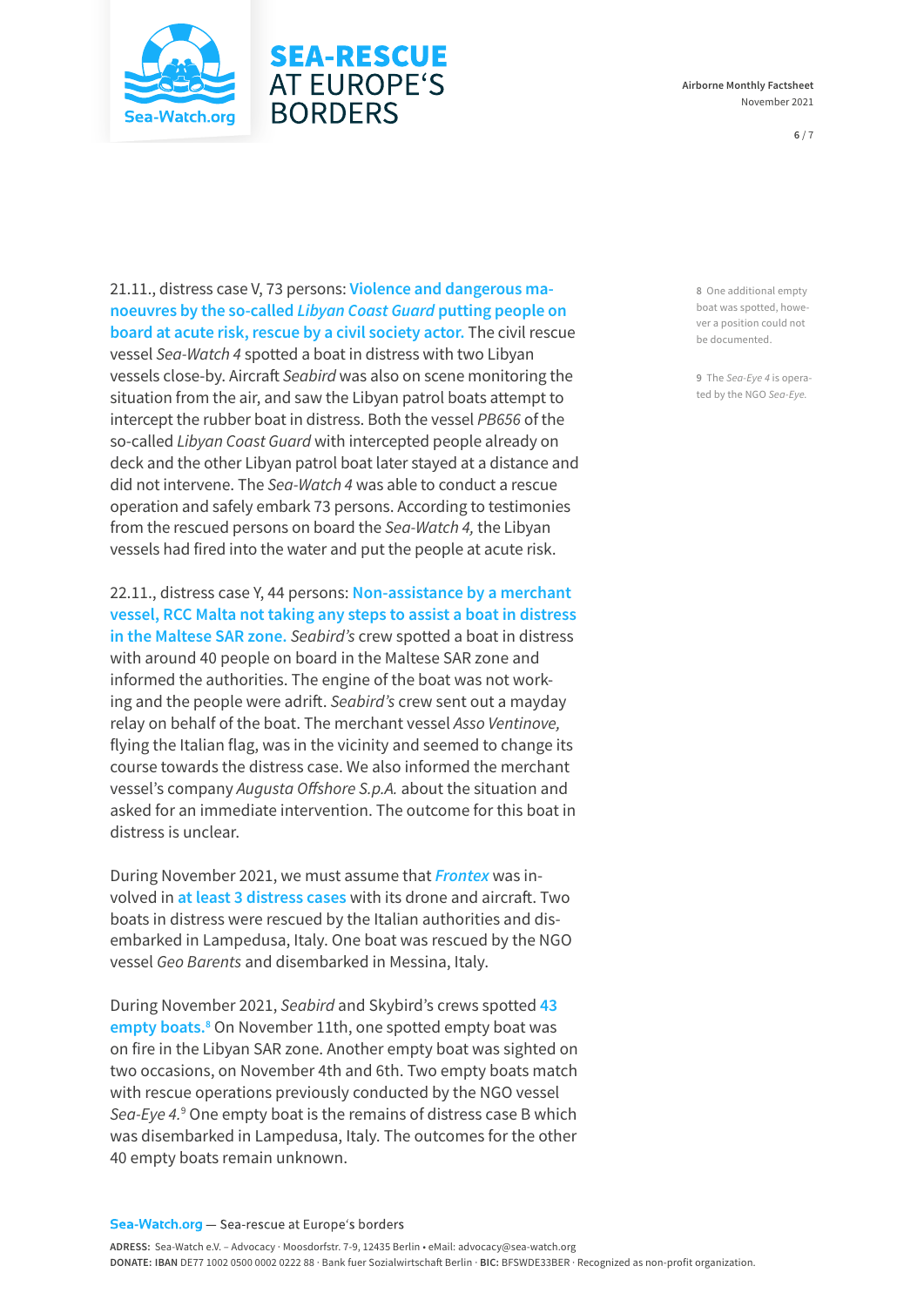

#### **Airborne Monthly Factsheet**  November 2021

#### **6** / 7

21.11., distress case V, 73 persons: **Violence and dangerous manoeuvres by the so-called** *Libyan Coast Guard* **putting people on board at acute risk, rescue by a civil society actor.** The civil rescue vessel *Sea-Watch 4* spotted a boat in distress with two Libyan vessels close-by. Aircraft *Seabird* was also on scene monitoring the situation from the air, and saw the Libyan patrol boats attempt to intercept the rubber boat in distress. Both the vessel *PB656* of the so-called *Libyan Coast Guard* with intercepted people already on deck and the other Libyan patrol boat later stayed at a distance and did not intervene. The *Sea-Watch 4* was able to conduct a rescue operation and safely embark 73 persons. According to testimonies from the rescued persons on board the *Sea-Watch 4,* the Libyan vessels had fired into the water and put the people at acute risk.

**SEA-RESCUE AT EUROPE'S** 

**BORDERS** 

22.11., distress case Y, 44 persons: **Non-assistance by a merchant vessel, RCC Malta not taking any steps to assist a boat in distress in the Maltese SAR zone.** *Seabird's* crew spotted a boat in distress with around 40 people on board in the Maltese SAR zone and informed the authorities. The engine of the boat was not working and the people were adrift. *Seabird's* crew sent out a mayday relay on behalf of the boat. The merchant vessel *Asso Ventinove,* flying the Italian flag, was in the vicinity and seemed to change its course towards the distress case. We also informed the merchant vessel's company *Augusta Offshore S.p.A.* about the situation and asked for an immediate intervention. The outcome for this boat in distress is unclear.

During November 2021, we must assume that *Frontex* was involved in **at least 3 distress cases** with its drone and aircraft. Two boats in distress were rescued by the Italian authorities and disembarked in Lampedusa, Italy. One boat was rescued by the NGO vessel *Geo Barents* and disembarked in Messina, Italy.

During November 2021, *Seabird* and Skybird's crews spotted **43**  empty boats.<sup>8</sup> On November 11th, one spotted empty boat was on fire in the Libyan SAR zone. Another empty boat was sighted on two occasions, on November 4th and 6th. Two empty boats match with rescue operations previously conducted by the NGO vessel *Sea-Eye 4.*<sup>9</sup> One empty boat is the remains of distress case B which was disembarked in Lampedusa, Italy. The outcomes for the other 40 empty boats remain unknown.

**8** One additional empty boat was spotted, however a position could not be documented.

**9** The *Sea-Eye 4* is operated by the NGO *Sea-Eye.*